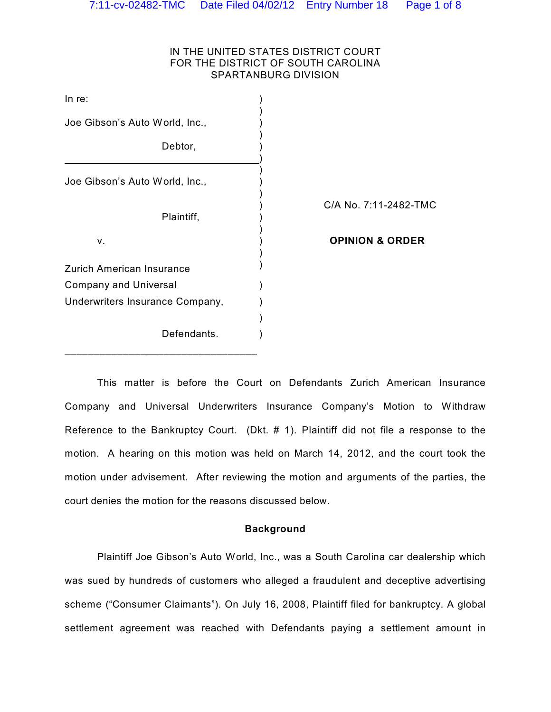## IN THE UNITED STATES DISTRICT COURT FOR THE DISTRICT OF SOUTH CAROLINA SPARTANBURG DIVISION

| In $re$ :                        |                            |
|----------------------------------|----------------------------|
| Joe Gibson's Auto World, Inc.,   |                            |
| Debtor,                          |                            |
| Joe Gibson's Auto World, Inc.,   |                            |
| Plaintiff,                       | C/A No. 7:11-2482-TMC      |
| v.                               | <b>OPINION &amp; ORDER</b> |
| <b>Zurich American Insurance</b> |                            |
| <b>Company and Universal</b>     |                            |
| Underwriters Insurance Company,  |                            |
|                                  |                            |
| Defendants.                      |                            |

This matter is before the Court on Defendants Zurich American Insurance Company and Universal Underwriters Insurance Company's Motion to Withdraw Reference to the Bankruptcy Court. (Dkt. # 1). Plaintiff did not file a response to the motion. A hearing on this motion was held on March 14, 2012, and the court took the motion under advisement. After reviewing the motion and arguments of the parties, the court denies the motion for the reasons discussed below.

### **Background**

Plaintiff Joe Gibson's Auto World, Inc., was a South Carolina car dealership which was sued by hundreds of customers who alleged a fraudulent and deceptive advertising scheme ("Consumer Claimants"). On July 16, 2008, Plaintiff filed for bankruptcy. A global settlement agreement was reached with Defendants paying a settlement amount in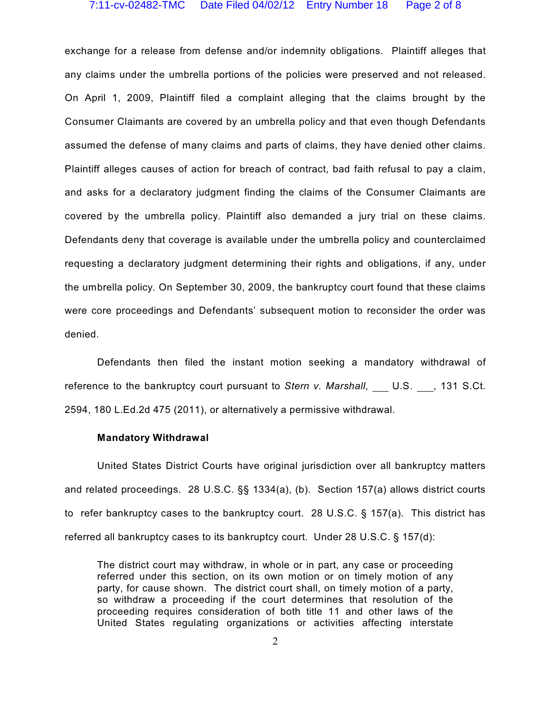#### 7:11-cv-02482-TMC Date Filed 04/02/12 Entry Number 18 Page 2 of 8

exchange for a release from defense and/or indemnity obligations. Plaintiff alleges that any claims under the umbrella portions of the policies were preserved and not released. On April 1, 2009, Plaintiff filed a complaint alleging that the claims brought by the Consumer Claimants are covered by an umbrella policy and that even though Defendants assumed the defense of many claims and parts of claims, they have denied other claims. Plaintiff alleges causes of action for breach of contract, bad faith refusal to pay a claim, and asks for a declaratory judgment finding the claims of the Consumer Claimants are covered by the umbrella policy. Plaintiff also demanded a jury trial on these claims. Defendants deny that coverage is available under the umbrella policy and counterclaimed requesting a declaratory judgment determining their rights and obligations, if any, under the umbrella policy. On September 30, 2009, the bankruptcy court found that these claims were core proceedings and Defendants' subsequent motion to reconsider the order was denied.

Defendants then filed the instant motion seeking a mandatory withdrawal of reference to the bankruptcy court pursuant to *Stern v. Marshall*, U.S., 131 S.Ct. 2594, 180 L.Ed.2d 475 (2011), or alternatively a permissive withdrawal.

### **Mandatory Withdrawal**

United States District Courts have original jurisdiction over all bankruptcy matters and related proceedings. 28 U.S.C. §§ 1334(a), (b). Section 157(a) allows district courts to refer bankruptcy cases to the bankruptcy court. 28 U.S.C. § 157(a). This district has referred all bankruptcy cases to its bankruptcy court. Under 28 U.S.C. § 157(d):

The district court may withdraw, in whole or in part, any case or proceeding referred under this section, on its own motion or on timely motion of any party, for cause shown. The district court shall, on timely motion of a party, so withdraw a proceeding if the court determines that resolution of the proceeding requires consideration of both title 11 and other laws of the United States regulating organizations or activities affecting interstate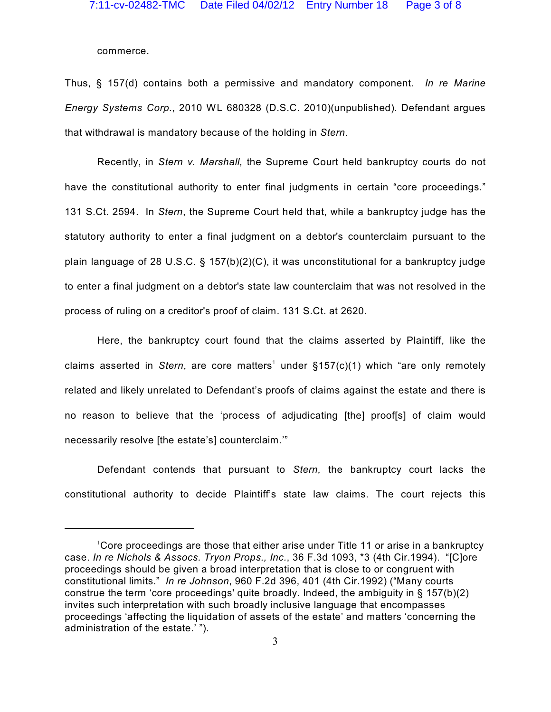commerce.

Thus, § 157(d) contains both a permissive and mandatory component. *In re Marine Energy Systems Corp.*, 2010 WL 680328 (D.S.C. 2010)(unpublished). Defendant argues that withdrawal is mandatory because of the holding in *Stern*.

Recently, in *Stern v. Marshall,* the Supreme Court held bankruptcy courts do not have the constitutional authority to enter final judgments in certain "core proceedings." 131 S.Ct. 2594. In *Stern*, the Supreme Court held that, while a bankruptcy judge has the statutory authority to enter a final judgment on a debtor's counterclaim pursuant to the plain language of 28 U.S.C. § 157(b)(2)(C), it was unconstitutional for a bankruptcy judge to enter a final judgment on a debtor's state law counterclaim that was not resolved in the process of ruling on a creditor's proof of claim. 131 S.Ct. at 2620.

Here, the bankruptcy court found that the claims asserted by Plaintiff, like the claims asserted in *Stern*, are core matters<sup>1</sup> under  $§157(c)(1)$  which "are only remotely related and likely unrelated to Defendant's proofs of claims against the estate and there is no reason to believe that the 'process of adjudicating [the] proof[s] of claim would necessarily resolve [the estate's] counterclaim.'"

Defendant contends that pursuant to *Stern,* the bankruptcy court lacks the constitutional authority to decide Plaintiff's state law claims. The court rejects this

Core proceedings are those that either arise under Title 11 or arise in a bankruptcy case. *In re Nichols & Assocs. Tryon Props., Inc.*, 36 F.3d 1093, \*3 (4th Cir.1994). "[C]ore proceedings should be given a broad interpretation that is close to or congruent with constitutional limits." *In re Johnson*, 960 F.2d 396, 401 (4th Cir.1992) ("Many courts construe the term 'core proceedings' quite broadly. Indeed, the ambiguity in § 157(b)(2) invites such interpretation with such broadly inclusive language that encompasses proceedings 'affecting the liquidation of assets of the estate' and matters 'concerning the administration of the estate.' ").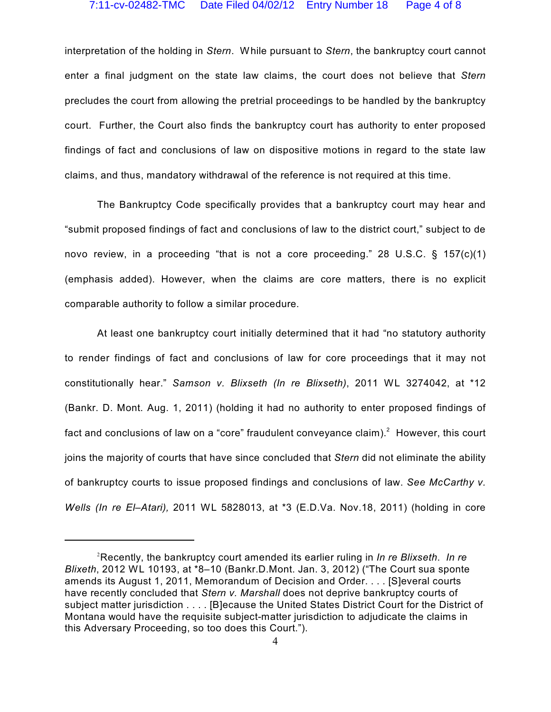interpretation of the holding in *Stern*. While pursuant to *Stern*, the bankruptcy court cannot enter a final judgment on the state law claims, the court does not believe that *Stern* precludes the court from allowing the pretrial proceedings to be handled by the bankruptcy court. Further, the Court also finds the bankruptcy court has authority to enter proposed findings of fact and conclusions of law on dispositive motions in regard to the state law claims, and thus, mandatory withdrawal of the reference is not required at this time.

The Bankruptcy Code specifically provides that a bankruptcy court may hear and "submit proposed findings of fact and conclusions of law to the district court," subject to de novo review, in a proceeding "that is not a core proceeding." 28 U.S.C. § 157(c)(1) (emphasis added). However, when the claims are core matters, there is no explicit comparable authority to follow a similar procedure.

At least one bankruptcy court initially determined that it had "no statutory authority to render findings of fact and conclusions of law for core proceedings that it may not constitutionally hear." *Samson v. Blixseth (In re Blixseth)*, 2011 WL 3274042, at \*12 (Bankr. D. Mont. Aug. 1, 2011) (holding it had no authority to enter proposed findings of fact and conclusions of law on a "core" fraudulent conveyance claim).<sup>2</sup> However, this court joins the majority of courts that have since concluded that *Stern* did not eliminate the ability of bankruptcy courts to issue proposed findings and conclusions of law. *See McCarthy v. Wells (In re El–Atari),* 2011 WL 5828013, at \*3 (E.D.Va. Nov.18, 2011) (holding in core

Recently, the bankruptcy court amended its earlier ruling in *In re Blixseth*. *In re* <sup>2</sup> *Blixeth*, 2012 WL 10193, at \*8–10 (Bankr.D.Mont. Jan. 3, 2012) ("The Court sua sponte amends its August 1, 2011, Memorandum of Decision and Order. . . . [S]everal courts have recently concluded that *Stern v. Marshall* does not deprive bankruptcy courts of subject matter jurisdiction . . . . [B]ecause the United States District Court for the District of Montana would have the requisite subject-matter jurisdiction to adjudicate the claims in this Adversary Proceeding, so too does this Court.").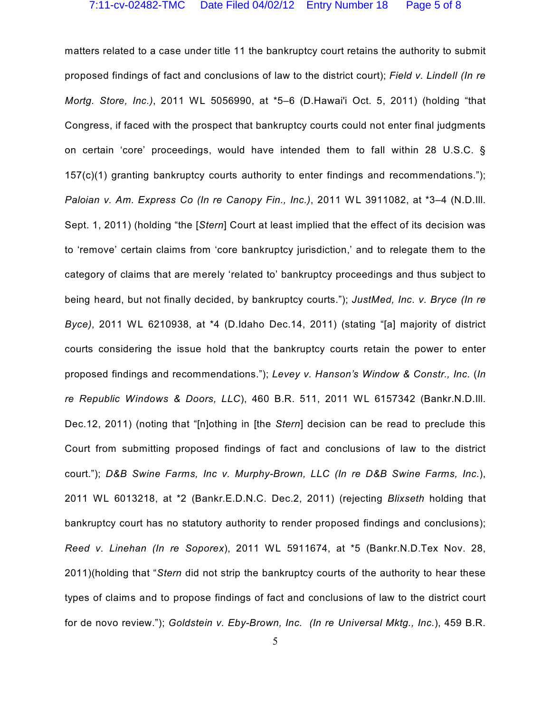matters related to a case under title 11 the bankruptcy court retains the authority to submit proposed findings of fact and conclusions of law to the district court); *Field v. Lindell (In re Mortg. Store, Inc.)*, 2011 WL 5056990, at \*5–6 (D.Hawai'i Oct. 5, 2011) (holding "that Congress, if faced with the prospect that bankruptcy courts could not enter final judgments on certain 'core' proceedings, would have intended them to fall within 28 U.S.C. §  $157(c)(1)$  granting bankruptcy courts authority to enter findings and recommendations."); *Paloian v. Am. Express Co (In re Canopy Fin., Inc.)*, 2011 WL 3911082, at \*3–4 (N.D.Ill. Sept. 1, 2011) (holding "the [*Stern*] Court at least implied that the effect of its decision was to 'remove' certain claims from 'core bankruptcy jurisdiction,' and to relegate them to the category of claims that are merely 'related to' bankruptcy proceedings and thus subject to being heard, but not finally decided, by bankruptcy courts."); *JustMed, Inc. v. Bryce (In re Byce)*, 2011 WL 6210938, at \*4 (D.Idaho Dec.14, 2011) (stating "[a] majority of district courts considering the issue hold that the bankruptcy courts retain the power to enter proposed findings and recommendations."); *Levey v. Hanson's Window & Constr., Inc.* (*In re Republic Windows & Doors, LLC*), 460 B.R. 511, 2011 WL 6157342 (Bankr.N.D.Ill. Dec.12, 2011) (noting that "[n]othing in [the *Stern*] decision can be read to preclude this Court from submitting proposed findings of fact and conclusions of law to the district court."); *D&B Swine Farms, Inc v. Murphy-Brown, LLC (In re D&B Swine Farms, Inc.*), 2011 WL 6013218, at \*2 (Bankr.E.D.N.C. Dec.2, 2011) (rejecting *Blixseth* holding that bankruptcy court has no statutory authority to render proposed findings and conclusions); *Reed v. Linehan (In re Soporex*), 2011 WL 5911674, at \*5 (Bankr.N.D.Tex Nov. 28, 2011)(holding that "*Stern* did not strip the bankruptcy courts of the authority to hear these types of claims and to propose findings of fact and conclusions of law to the district court for de novo review."); *Goldstein v. Eby-Brown, Inc. (In re Universal Mktg., Inc.*), 459 B.R.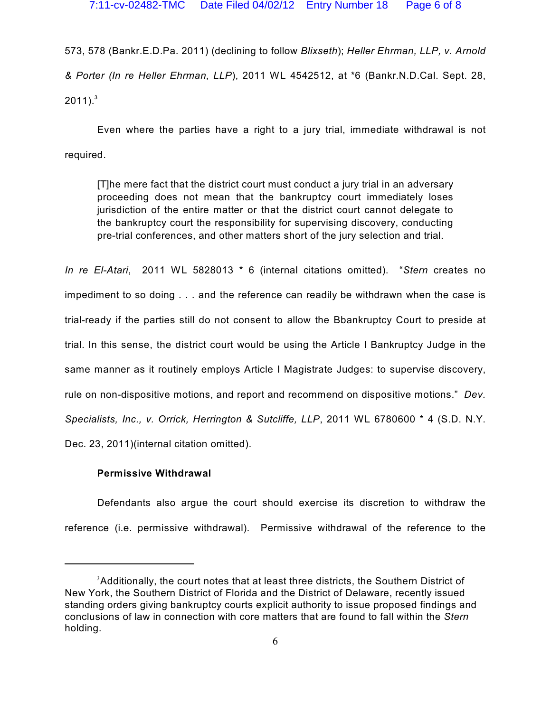573, 578 (Bankr.E.D.Pa. 2011) (declining to follow *Blixseth*); *Heller Ehrman, LLP, v. Arnold & Porter (In re Heller Ehrman, LLP*), 2011 WL 4542512, at \*6 (Bankr.N.D.Cal. Sept. 28,  $2011$ ).<sup>3</sup>

Even where the parties have a right to a jury trial, immediate withdrawal is not required.

[T]he mere fact that the district court must conduct a jury trial in an adversary proceeding does not mean that the bankruptcy court immediately loses jurisdiction of the entire matter or that the district court cannot delegate to the bankruptcy court the responsibility for supervising discovery, conducting pre-trial conferences, and other matters short of the jury selection and trial.

*In re El-Atari*, 2011 WL 5828013 \* 6 (internal citations omitted). "*Stern* creates no impediment to so doing . . . and the reference can readily be withdrawn when the case is trial-ready if the parties still do not consent to allow the Bbankruptcy Court to preside at trial. In this sense, the district court would be using the Article I Bankruptcy Judge in the same manner as it routinely employs Article I Magistrate Judges: to supervise discovery, rule on non-dispositive motions, and report and recommend on dispositive motions." *Dev. Specialists, Inc., v. Orrick, Herrington & Sutcliffe, LLP*, 2011 WL 6780600 \* 4 (S.D. N.Y. Dec. 23, 2011)(internal citation omitted).

# **Permissive Withdrawal**

Defendants also argue the court should exercise its discretion to withdraw the reference (i.e. permissive withdrawal). Permissive withdrawal of the reference to the

 $3$ Additionally, the court notes that at least three districts, the Southern District of New York, the Southern District of Florida and the District of Delaware, recently issued standing orders giving bankruptcy courts explicit authority to issue proposed findings and conclusions of law in connection with core matters that are found to fall within the *Stern* holding.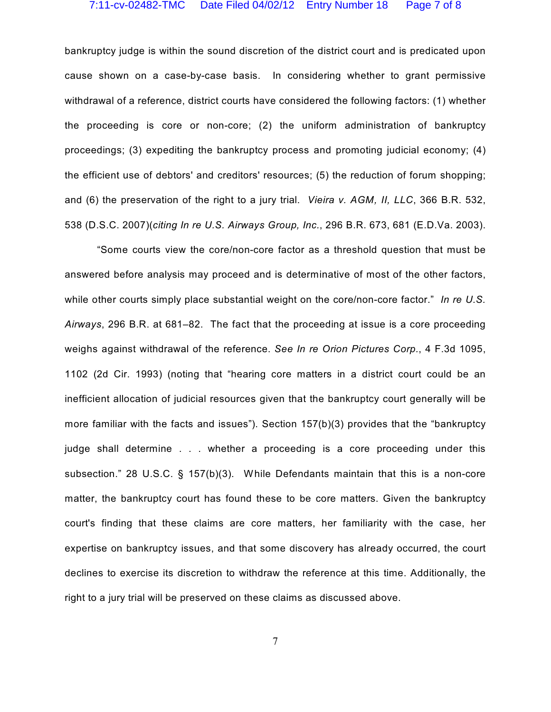#### 7:11-cv-02482-TMC Date Filed 04/02/12 Entry Number 18 Page 7 of 8

bankruptcy judge is within the sound discretion of the district court and is predicated upon cause shown on a case-by-case basis. In considering whether to grant permissive withdrawal of a reference, district courts have considered the following factors: (1) whether the proceeding is core or non-core; (2) the uniform administration of bankruptcy proceedings; (3) expediting the bankruptcy process and promoting judicial economy; (4) the efficient use of debtors' and creditors' resources; (5) the reduction of forum shopping; and (6) the preservation of the right to a jury trial. *Vieira v. AGM, II, LLC*, 366 B.R. 532, 538 (D.S.C. 2007)(*citing In re U.S. Airways Group, Inc.*, 296 B.R. 673, 681 (E.D.Va. 2003).

"Some courts view the core/non-core factor as a threshold question that must be answered before analysis may proceed and is determinative of most of the other factors, while other courts simply place substantial weight on the core/non-core factor." *In re U.S. Airways*, 296 B.R. at 681–82. The fact that the proceeding at issue is a core proceeding weighs against withdrawal of the reference. *See In re Orion Pictures Corp.*, 4 F.3d 1095, 1102 (2d Cir. 1993) (noting that "hearing core matters in a district court could be an inefficient allocation of judicial resources given that the bankruptcy court generally will be more familiar with the facts and issues"). Section 157(b)(3) provides that the "bankruptcy judge shall determine . . . whether a proceeding is a core proceeding under this subsection." 28 U.S.C. § 157(b)(3). While Defendants maintain that this is a non-core matter, the bankruptcy court has found these to be core matters. Given the bankruptcy court's finding that these claims are core matters, her familiarity with the case, her expertise on bankruptcy issues, and that some discovery has already occurred, the court declines to exercise its discretion to withdraw the reference at this time. Additionally, the right to a jury trial will be preserved on these claims as discussed above.

7